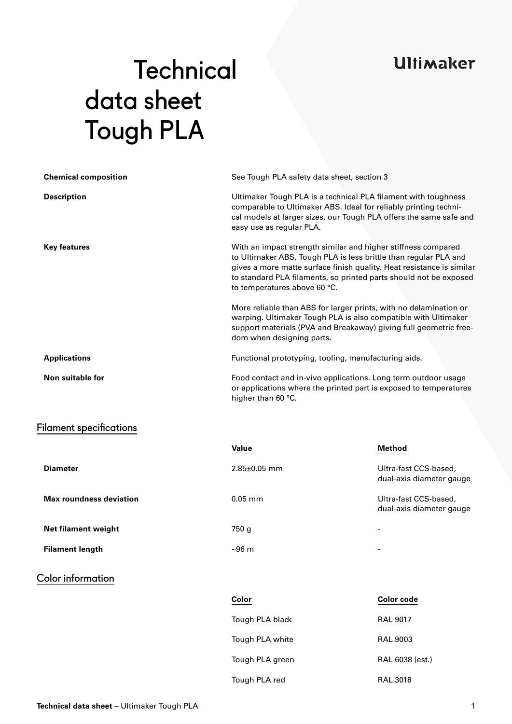## **Ultimaker**

# **Technical** data sheet Tough PLA

| <b>Chemical composition</b>    |                                                                                                                                                                                                                                                                                                                 | See Tough PLA safety data sheet, section 3                                                                                                                                                               |  |  |
|--------------------------------|-----------------------------------------------------------------------------------------------------------------------------------------------------------------------------------------------------------------------------------------------------------------------------------------------------------------|----------------------------------------------------------------------------------------------------------------------------------------------------------------------------------------------------------|--|--|
| <b>Description</b>             | easy use as regular PLA.                                                                                                                                                                                                                                                                                        | Ultimaker Tough PLA is a technical PLA filament with toughness<br>comparable to Ultimaker ABS. Ideal for reliably printing techni-<br>cal models at larger sizes, our Tough PLA offers the same safe and |  |  |
| <b>Key features</b>            | With an impact strength similar and higher stiffness compared<br>to Ultimaker ABS, Tough PLA is less brittle than regular PLA and<br>gives a more matte surface finish quality. Heat resistance is similar<br>to standard PLA filaments, so printed parts should not be exposed<br>to temperatures above 60 °C. |                                                                                                                                                                                                          |  |  |
|                                | dom when designing parts.                                                                                                                                                                                                                                                                                       | More reliable than ABS for larger prints, with no delamination or<br>warping. Ultimaker Tough PLA is also compatible with Ultimaker<br>support materials (PVA and Breakaway) giving full geometric free- |  |  |
| <b>Applications</b>            |                                                                                                                                                                                                                                                                                                                 | Functional prototyping, tooling, manufacturing aids.                                                                                                                                                     |  |  |
| Non suitable for               | higher than 60 °C.                                                                                                                                                                                                                                                                                              | Food contact and in-vivo applications. Long term outdoor usage<br>or applications where the printed part is exposed to temperatures                                                                      |  |  |
| <b>Filament specifications</b> |                                                                                                                                                                                                                                                                                                                 |                                                                                                                                                                                                          |  |  |
|                                | Value                                                                                                                                                                                                                                                                                                           | <b>Method</b>                                                                                                                                                                                            |  |  |
| <b>Diameter</b>                | $2.85 \pm 0.05$ mm                                                                                                                                                                                                                                                                                              | Ultra-fast CCS-based,<br>dual-axis diameter gauge                                                                                                                                                        |  |  |
| <b>Max roundness deviation</b> | $0.05$ mm                                                                                                                                                                                                                                                                                                       | Ultra-fast CCS-based,<br>dual-axis diameter gauge                                                                                                                                                        |  |  |
| <b>Net filament weight</b>     | 750 g                                                                                                                                                                                                                                                                                                           |                                                                                                                                                                                                          |  |  |
| <b>Filament length</b>         | ~96 m                                                                                                                                                                                                                                                                                                           |                                                                                                                                                                                                          |  |  |
| <b>Color information</b>       |                                                                                                                                                                                                                                                                                                                 |                                                                                                                                                                                                          |  |  |
|                                | Color                                                                                                                                                                                                                                                                                                           | <b>Color</b> code                                                                                                                                                                                        |  |  |
|                                | Tough PLA black                                                                                                                                                                                                                                                                                                 | <b>RAL 9017</b>                                                                                                                                                                                          |  |  |
|                                | Tough PLA white                                                                                                                                                                                                                                                                                                 | <b>RAL 9003</b>                                                                                                                                                                                          |  |  |
|                                | Tough PLA green                                                                                                                                                                                                                                                                                                 | RAL 6038 (est.)                                                                                                                                                                                          |  |  |
|                                | Tough PLA red                                                                                                                                                                                                                                                                                                   | <b>RAL 3018</b>                                                                                                                                                                                          |  |  |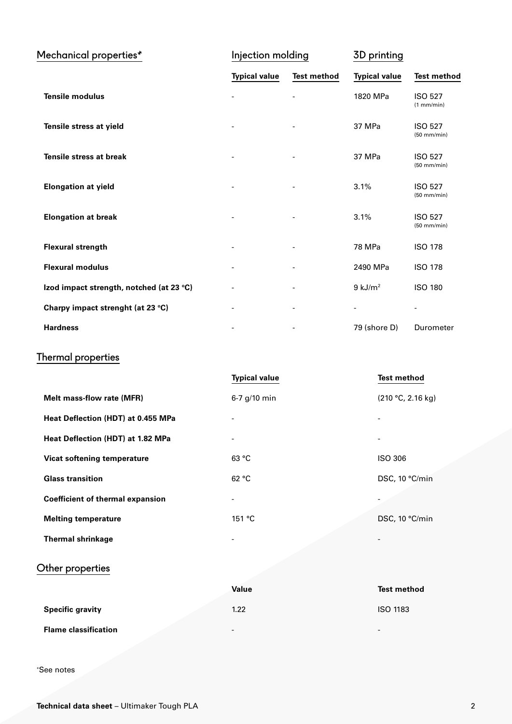| Mechanical properties*                   | Injection molding    |                          | 3D printing              |                                 |
|------------------------------------------|----------------------|--------------------------|--------------------------|---------------------------------|
|                                          | <b>Typical value</b> | <b>Test method</b>       | <b>Typical value</b>     | <b>Test method</b>              |
| <b>Tensile modulus</b>                   |                      |                          | 1820 MPa                 | <b>ISO 527</b><br>(1 mm/min)    |
| Tensile stress at yield                  |                      | $\overline{\phantom{a}}$ | 37 MPa                   | <b>ISO 527</b><br>$(50$ mm/min) |
| <b>Tensile stress at break</b>           |                      | $\overline{\phantom{a}}$ | 37 MPa                   | <b>ISO 527</b><br>$(50$ mm/min) |
| <b>Elongation at yield</b>               | -                    | $\overline{\phantom{a}}$ | 3.1%                     | <b>ISO 527</b><br>$(50$ mm/min) |
| <b>Elongation at break</b>               |                      |                          | 3.1%                     | <b>ISO 527</b><br>$(50$ mm/min) |
| <b>Flexural strength</b>                 | $\overline{a}$       |                          | 78 MPa                   | <b>ISO 178</b>                  |
| <b>Flexural modulus</b>                  |                      |                          | 2490 MPa                 | <b>ISO 178</b>                  |
| Izod impact strength, notched (at 23 °C) |                      | $\overline{\phantom{a}}$ | $9$ kJ/m <sup>2</sup>    | <b>ISO 180</b>                  |
| Charpy impact strenght (at 23 °C)        |                      |                          | $\overline{\phantom{a}}$ |                                 |
| <b>Hardness</b>                          |                      |                          | 79 (shore D)             | Durometer                       |

## Thermal properties

|                                         | <b>Typical value</b> | <b>Test method</b> |
|-----------------------------------------|----------------------|--------------------|
| Melt mass-flow rate (MFR)               | $6-7$ g/10 min       | (210 °C, 2.16 kg)  |
| Heat Deflection (HDT) at 0.455 MPa      |                      |                    |
| Heat Deflection (HDT) at 1.82 MPa       |                      |                    |
| Vicat softening temperature             | 63 °C                | <b>ISO 306</b>     |
| <b>Glass transition</b>                 | 62 °C                | DSC, 10 °C/min     |
| <b>Coefficient of thermal expansion</b> |                      |                    |
| <b>Melting temperature</b>              | 151 °C               | DSC, 10 °C/min     |
| <b>Thermal shrinkage</b>                |                      |                    |

### Other properties

|                             | Value                    | <b>Test method</b>       |
|-----------------------------|--------------------------|--------------------------|
| <b>Specific gravity</b>     | 1.22                     | <b>ISO 1183</b>          |
| <b>Flame classification</b> | $\overline{\phantom{0}}$ | $\overline{\phantom{0}}$ |

\*See notes